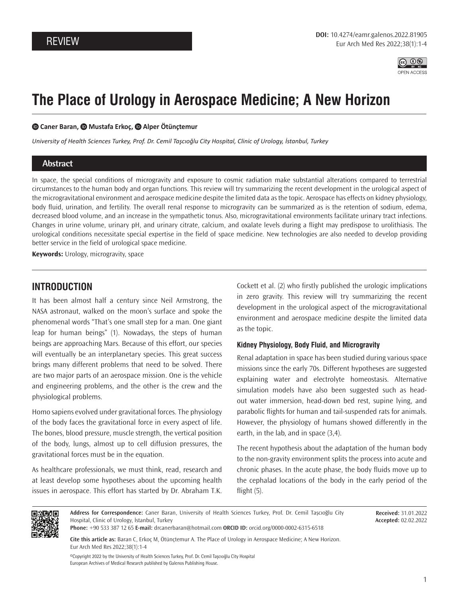

# **The Place of Urology in Aerospace Medicine; A New Horizon**

#### **Caner Baran, Mustafa Erkoç,Alper Ötünçtemur**

*University of Health Sciences Turkey, Prof. Dr. Cemil Taşcıoğlu City Hospital, Clinic of Urology, İstanbul, Turkey*

## **Abstract**

In space, the special conditions of microgravity and exposure to cosmic radiation make substantial alterations compared to terrestrial circumstances to the human body and organ functions. This review will try summarizing the recent development in the urological aspect of the microgravitational environment and aerospace medicine despite the limited data as the topic. Aerospace has effects on kidney physiology, body fluid, urination, and fertility. The overall renal response to microgravity can be summarized as is the retention of sodium, edema, decreased blood volume, and an increase in the sympathetic tonus. Also, microgravitational environments facilitate urinary tract infections. Changes in urine volume, urinary pH, and urinary citrate, calcium, and oxalate levels during a flight may predispose to urolithiasis. The urological conditions necessitate special expertise in the field of space medicine. New technologies are also needed to develop providing better service in the field of urological space medicine.

**Keywords:** Urology, microgravity, space

# **INTRODUCTION**

It has been almost half a century since Neil Armstrong, the NASA astronaut, walked on the moon's surface and spoke the phenomenal words "That's one small step for a man. One giant leap for human beings" (1). Nowadays, the steps of human beings are approaching Mars. Because of this effort, our species will eventually be an interplanetary species. This great success brings many different problems that need to be solved. There are two major parts of an aerospace mission. One is the vehicle and engineering problems, and the other is the crew and the physiological problems.

Homo sapiens evolved under gravitational forces. The physiology of the body faces the gravitational force in every aspect of life. The bones, blood pressure, muscle strength, the vertical position of the body, lungs, almost up to cell diffusion pressures, the gravitational forces must be in the equation.

As healthcare professionals, we must think, read, research and at least develop some hypotheses about the upcoming health issues in aerospace. This effort has started by Dr. Abraham T.K. Cockett et al. (2) who firstly published the urologic implications in zero gravity. This review will try summarizing the recent development in the urological aspect of the microgravitational environment and aerospace medicine despite the limited data as the topic.

#### **Kidney Physiology, Body Fluid, and Microgravity**

Renal adaptation in space has been studied during various space missions since the early 70s. Different hypotheses are suggested explaining water and electrolyte homeostasis. Alternative simulation models have also been suggested such as headout water immersion, head-down bed rest, supine lying, and parabolic flights for human and tail-suspended rats for animals. However, the physiology of humans showed differently in the earth, in the lab, and in space (3,4).

The recent hypothesis about the adaptation of the human body to the non-gravity environment splits the process into acute and chronic phases. In the acute phase, the body fluids move up to the cephalad locations of the body in the early period of the flight (5).



**Address for Correspondence:** Caner Baran, University of Health Sciences Turkey, Prof. Dr. Cemil Taşcıoğlu City Hospital, Clinic of Urology, İstanbul, Turkey

**Received:** 31.01.2022 **Accepted:** 02.02.2022

**Phone:** +90 533 387 12 65 **E-mail:** drcanerbaran@hotmail.com **ORCID ID:** orcid.org/0000-0002-6315-6518

**Cite this article as:** Baran C, Erkoç M, Ötünçtemur A. The Place of Urology in Aerospace Medicine; A New Horizon. Eur Arch Med Res 2022;38(1):1-4

©Copyright 2022 by the University of Health Sciences Turkey, Prof. Dr. Cemil Taşcıoğlu City Hospital European Archives of Medical Research published by Galenos Publishing House.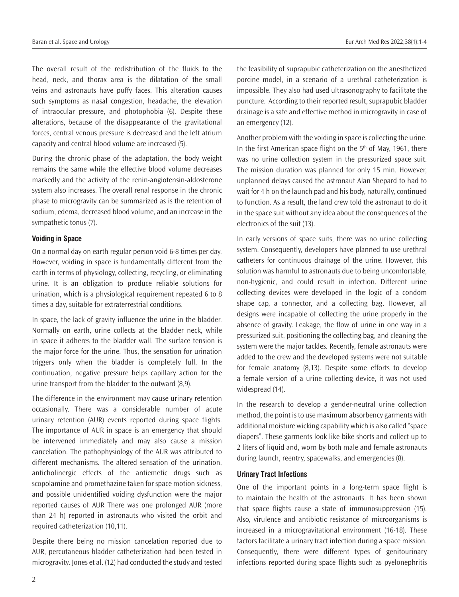The overall result of the redistribution of the fluids to the head, neck, and thorax area is the dilatation of the small veins and astronauts have puffy faces. This alteration causes such symptoms as nasal congestion, headache, the elevation of intraocular pressure, and photophobia (6). Despite these alterations, because of the disappearance of the gravitational forces, central venous pressure is decreased and the left atrium capacity and central blood volume are increased (5).

During the chronic phase of the adaptation, the body weight remains the same while the effective blood volume decreases markedly and the activity of the renin-angiotensin-aldosterone system also increases. The overall renal response in the chronic phase to microgravity can be summarized as is the retention of sodium, edema, decreased blood volume, and an increase in the sympathetic tonus (7).

#### **Voiding in Space**

On a normal day on earth regular person void 6-8 times per day. However, voiding in space is fundamentally different from the earth in terms of physiology, collecting, recycling, or eliminating urine. It is an obligation to produce reliable solutions for urination, which is a physiological requirement repeated 6 to 8 times a day, suitable for extraterrestrial conditions.

In space, the lack of gravity influence the urine in the bladder. Normally on earth, urine collects at the bladder neck, while in space it adheres to the bladder wall. The surface tension is the major force for the urine. Thus, the sensation for urination triggers only when the bladder is completely full. In the continuation, negative pressure helps capillary action for the urine transport from the bladder to the outward (8,9).

The difference in the environment may cause urinary retention occasionally. There was a considerable number of acute urinary retention (AUR) events reported during space flights. The importance of AUR in space is an emergency that should be intervened immediately and may also cause a mission cancelation. The pathophysiology of the AUR was attributed to different mechanisms. The altered sensation of the urination, anticholinergic effects of the antiemetic drugs such as scopolamine and promethazine taken for space motion sickness, and possible unidentified voiding dysfunction were the major reported causes of AUR There was one prolonged AUR (more than 24 h) reported in astronauts who visited the orbit and required catheterization (10,11).

Despite there being no mission cancelation reported due to AUR, percutaneous bladder catheterization had been tested in microgravity. Jones et al. (12) had conducted the study and tested the feasibility of suprapubic catheterization on the anesthetized porcine model, in a scenario of a urethral catheterization is impossible. They also had used ultrasonography to facilitate the puncture. According to their reported result, suprapubic bladder drainage is a safe and effective method in microgravity in case of an emergency (12).

Another problem with the voiding in space is collecting the urine. In the first American space flight on the  $5<sup>th</sup>$  of May, 1961, there was no urine collection system in the pressurized space suit. The mission duration was planned for only 15 min. However, unplanned delays caused the astronaut Alan Shepard to had to wait for 4 h on the launch pad and his body, naturally, continued to function. As a result, the land crew told the astronaut to do it in the space suit without any idea about the consequences of the electronics of the suit (13).

In early versions of space suits, there was no urine collecting system. Consequently, developers have planned to use urethral catheters for continuous drainage of the urine. However, this solution was harmful to astronauts due to being uncomfortable, non-hygienic, and could result in infection. Different urine collecting devices were developed in the logic of a condom shape cap, a connector, and a collecting bag. However, all designs were incapable of collecting the urine properly in the absence of gravity. Leakage, the flow of urine in one way in a pressurized suit, positioning the collecting bag, and cleaning the system were the major tackles. Recently, female astronauts were added to the crew and the developed systems were not suitable for female anatomy (8,13). Despite some efforts to develop a female version of a urine collecting device, it was not used widespread (14).

In the research to develop a gender-neutral urine collection method, the point is to use maximum absorbency garments with additional moisture wicking capability which is also called "space diapers". These garments look like bike shorts and collect up to 2 liters of liquid and, worn by both male and female astronauts during launch, reentry, spacewalks, and emergencies (8).

### **Urinary Tract Infections**

One of the important points in a long-term space flight is to maintain the health of the astronauts. It has been shown that space flights cause a state of immunosuppression (15). Also, virulence and antibiotic resistance of microorganisms is increased in a microgravitational environment (16-18). These factors facilitate a urinary tract infection during a space mission. Consequently, there were different types of genitourinary infections reported during space flights such as pyelonephritis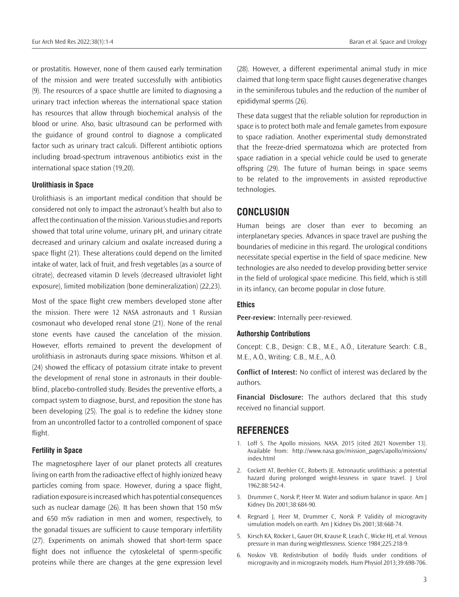or prostatitis. However, none of them caused early termination of the mission and were treated successfully with antibiotics (9). The resources of a space shuttle are limited to diagnosing a urinary tract infection whereas the international space station has resources that allow through biochemical analysis of the blood or urine. Also, basic ultrasound can be performed with the guidance of ground control to diagnose a complicated factor such as urinary tract calculi. Different antibiotic options including broad-spectrum intravenous antibiotics exist in the international space station (19,20).

## **Urolithiasis in Space**

Urolithiasis is an important medical condition that should be considered not only to impact the astronaut's health but also to affect the continuation of the mission. Various studies and reports showed that total urine volume, urinary pH, and urinary citrate decreased and urinary calcium and oxalate increased during a space flight (21). These alterations could depend on the limited intake of water, lack of fruit, and fresh vegetables (as a source of citrate), decreased vitamin D levels (decreased ultraviolet light exposure), limited mobilization (bone demineralization) (22,23).

Most of the space flight crew members developed stone after the mission. There were 12 NASA astronauts and 1 Russian cosmonaut who developed renal stone (21). None of the renal stone events have caused the cancelation of the mission. However, efforts remained to prevent the development of urolithiasis in astronauts during space missions. Whitson et al. (24) showed the efficacy of potassium citrate intake to prevent the development of renal stone in astronauts in their doubleblind, placebo-controlled study. Besides the preventive efforts, a compact system to diagnose, burst, and reposition the stone has been developing (25). The goal is to redefine the kidney stone from an uncontrolled factor to a controlled component of space flight.

### **Fertility in Space**

The magnetosphere layer of our planet protects all creatures living on earth from the radioactive effect of highly ionized heavy particles coming from space. However, during a space flight, radiation exposure is increased which has potential consequences such as nuclear damage (26). It has been shown that 150 mSv and 650 mSv radiation in men and women, respectively, to the gonadal tissues are sufficient to cause temporary infertility (27). Experiments on animals showed that short-term space flight does not influence the cytoskeletal of sperm-specific proteins while there are changes at the gene expression level

(28). However, a different experimental animal study in mice claimed that long-term space flight causes degenerative changes in the seminiferous tubules and the reduction of the number of epididymal sperms (26).

These data suggest that the reliable solution for reproduction in space is to protect both male and female gametes from exposure to space radiation. Another experimental study demonstrated that the freeze-dried spermatozoa which are protected from space radiation in a special vehicle could be used to generate offspring (29). The future of human beings in space seems to be related to the improvements in assisted reproductive technologies.

# **CONCLUSION**

Human beings are closer than ever to becoming an interplanetary species. Advances in space travel are pushing the boundaries of medicine in this regard. The urological conditions necessitate special expertise in the field of space medicine. New technologies are also needed to develop providing better service in the field of urological space medicine. This field, which is still in its infancy, can become popular in close future.

## **Ethics**

**Peer-review:** Internally peer-reviewed.

#### **Authorship Contributions**

Concept: C.B., Design: C.B., M.E., A.Ö., Literature Search: C.B., M.E., A.Ö., Writing: C.B., M.E., A.Ö.

**Conflict of Interest:** No conflict of interest was declared by the authors.

**Financial Disclosure:** The authors declared that this study received no financial support.

# **REFERENCES**

- 1. Loff S. The Apollo missions. NASA. 2015 (cited 2021 November 13). Available from: http://www.nasa.gov/mission\_pages/apollo/missions/ index.html
- 2. Cockett AT, Beehler CC, Roberts JE. Astronautic urolithiasis: a potential hazard during prolonged weight-lessness in space travel. J Urol 1962;88:542-4.
- 3. Drummer C, Norsk P, Heer M. Water and sodium balance in space. Am J Kidney Dis 2001;38:684-90.
- 4. Regnard J, Heer M, Drummer C, Norsk P. Validity of microgravity simulation models on earth. Am J Kidney Dis 2001;38:668-74.
- 5. Kirsch KA, Röcker L, Gauer OH, Krause R, Leach C, Wicke HJ, et al. Venous pressure in man during weightlessness. Science 1984;225:218-9.
- 6. Noskov VB. Redistribution of bodily fluids under conditions of microgravity and in microgravity models. Hum Physiol 2013;39:698-706.